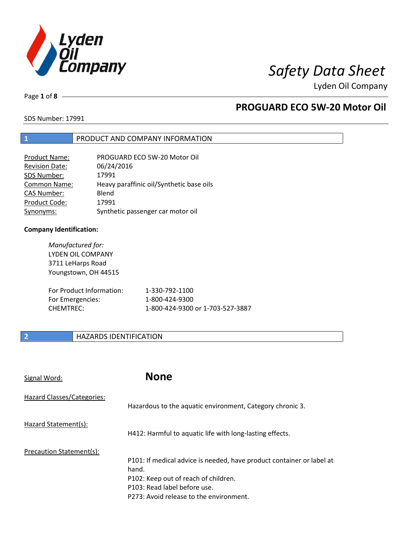

Lyden Oil Company

Page **1** of **8**

## **PROGUARD ECO 5W-20 Motor Oil**

SDS Number: 17991

### **1** PRODUCT AND COMPANY INFORMATION

| Product Name:         | PROGUARD ECO 5W-20 Motor Oil             |
|-----------------------|------------------------------------------|
| <b>Revision Date:</b> | 06/24/2016                               |
| SDS Number:           | 17991                                    |
| <b>Common Name:</b>   | Heavy paraffinic oil/Synthetic base oils |
| <b>CAS Number:</b>    | Blend                                    |
| Product Code:         | 17991                                    |
| Synonyms:             | Synthetic passenger car motor oil        |

### **Company Identification:**

| Manufactured for:<br><b>LYDEN OIL COMPANY</b><br>3711 LeHarps Road<br>Youngstown, OH 44515 |                                  |
|--------------------------------------------------------------------------------------------|----------------------------------|
| For Product Information:                                                                   | 1-330-792-1100                   |
| For Emergencies:                                                                           | 1-800-424-9300                   |
| CHFMTRFC:                                                                                  | 1-800-424-9300 or 1-703-527-3887 |

### **2 HAZARDS IDENTIFICATION**

| Signal Word:               | <b>None</b>                                                                                                                                                                                       |
|----------------------------|---------------------------------------------------------------------------------------------------------------------------------------------------------------------------------------------------|
| Hazard Classes/Categories: | Hazardous to the aquatic environment, Category chronic 3.                                                                                                                                         |
| Hazard Statement(s):       | H412: Harmful to aquatic life with long-lasting effects.                                                                                                                                          |
| Precaution Statement(s):   | P101: If medical advice is needed, have product container or label at<br>hand.<br>P102: Keep out of reach of children.<br>P103: Read label before use.<br>P273: Avoid release to the environment. |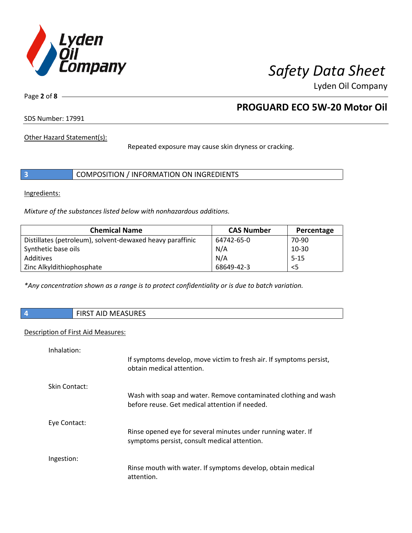

Lyden Oil Company

Page **2** of **8**

## **PROGUARD ECO 5W-20 Motor Oil**

SDS Number: 17991

Other Hazard Statement(s):

Repeated exposure may cause skin dryness or cracking.

|  | COMPOSITION / INFORMATION ON INGREDIENTS |  |
|--|------------------------------------------|--|
|--|------------------------------------------|--|

Ingredients:

*Mixture of the substances listed below with nonhazardous additions.* 

| <b>Chemical Name</b>                                      | <b>CAS Number</b> | Percentage |
|-----------------------------------------------------------|-------------------|------------|
| Distillates (petroleum), solvent-dewaxed heavy paraffinic | 64742-65-0        | 70-90      |
| Synthetic base oils                                       | N/A               | $10-30$    |
| Additives                                                 | N/A               | $5 - 15$   |
| Zinc Alkyldithiophosphate                                 | 68649-42-3        | $<$ 5      |

*\*Any concentration shown as a range is to protect confidentiality or is due to batch variation.*

**4** FIRST AID MEASURES

### Description of First Aid Measures:

| Inhalation:   |                                                                                                                   |
|---------------|-------------------------------------------------------------------------------------------------------------------|
|               | If symptoms develop, move victim to fresh air. If symptoms persist,<br>obtain medical attention.                  |
| Skin Contact: |                                                                                                                   |
|               | Wash with soap and water. Remove contaminated clothing and wash<br>before reuse. Get medical attention if needed. |
| Eye Contact:  |                                                                                                                   |
|               | Rinse opened eye for several minutes under running water. If<br>symptoms persist, consult medical attention.      |
| Ingestion:    |                                                                                                                   |
|               | Rinse mouth with water. If symptoms develop, obtain medical<br>attention.                                         |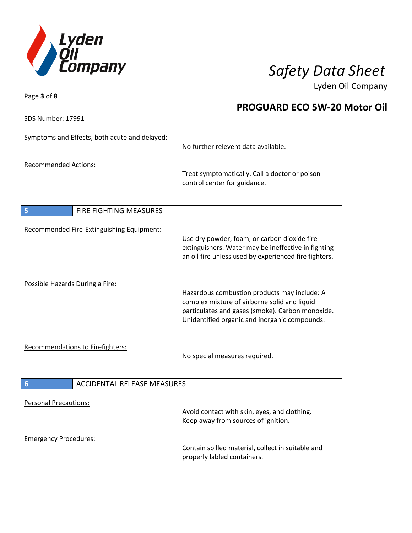

 **PROGUARD ECO 5W-20 Motor Oil** 

Lyden Oil Company

SDS Number: 17991

Page **3** of **8**

## Symptoms and Effects, both acute and delayed: No further relevent data available. Recommended Actions: Treat symptomatically. Call a doctor or poison control center for guidance. **5** FIRE FIGHTING MEASURES Recommended Fire-Extinguishing Equipment: Use dry powder, foam, or carbon dioxide fire extinguishers. Water may be ineffective in fighting an oil fire unless used by experienced fire fighters. Possible Hazards During a Fire: Hazardous combustion products may include: A complex mixture of airborne solid and liquid particulates and gases (smoke). Carbon monoxide. Unidentified organic and inorganic compounds. Recommendations to Firefighters: No special measures required. **6** ACCIDENTAL RELEASE MEASURES Personal Precautions: Avoid contact with skin, eyes, and clothing. Keep away from sources of ignition. Emergency Procedures: Contain spilled material, collect in suitable and

properly labled containers.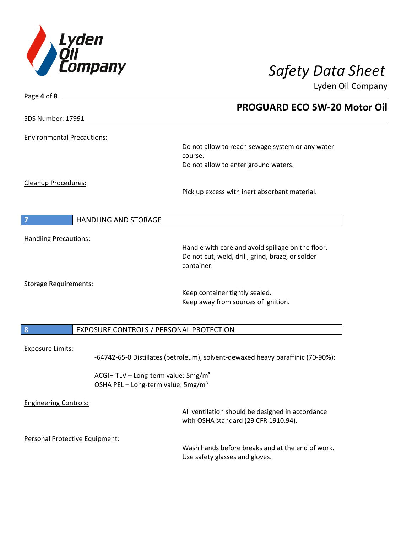

Page **4** of **8**

# *Safety Data Sheet*

Lyden Oil Company

|                                   | <b>PROGUARD ECO 5W-20 Motor Oil</b>                                                      |
|-----------------------------------|------------------------------------------------------------------------------------------|
| <b>SDS Number: 17991</b>          |                                                                                          |
| <b>Environmental Precautions:</b> |                                                                                          |
|                                   | Do not allow to reach sewage system or any water<br>course.                              |
|                                   | Do not allow to enter ground waters.                                                     |
| Cleanup Procedures:               |                                                                                          |
|                                   | Pick up excess with inert absorbant material.                                            |
| 7                                 | <b>HANDLING AND STORAGE</b>                                                              |
| <b>Handling Precautions:</b>      |                                                                                          |
|                                   | Handle with care and avoid spillage on the floor.                                        |
|                                   | Do not cut, weld, drill, grind, braze, or solder<br>container.                           |
| <b>Storage Requirements:</b>      |                                                                                          |
|                                   | Keep container tightly sealed.<br>Keep away from sources of ignition.                    |
|                                   |                                                                                          |
| 8                                 | EXPOSURE CONTROLS / PERSONAL PROTECTION                                                  |
| <b>Exposure Limits:</b>           |                                                                                          |
|                                   | -64742-65-0 Distillates (petroleum), solvent-dewaxed heavy paraffinic (70-90%):          |
|                                   | ACGIH TLV - Long-term value: 5mg/m <sup>3</sup>                                          |
|                                   | OSHA PEL - Long-term value: 5mg/m <sup>3</sup>                                           |
| <b>Engineering Controls:</b>      |                                                                                          |
|                                   | All ventilation should be designed in accordance<br>with OSHA standard (29 CFR 1910.94). |
| Personal Protective Equipment:    |                                                                                          |
|                                   | Wash hands before breaks and at the end of work.<br>Use safety glasses and gloves.       |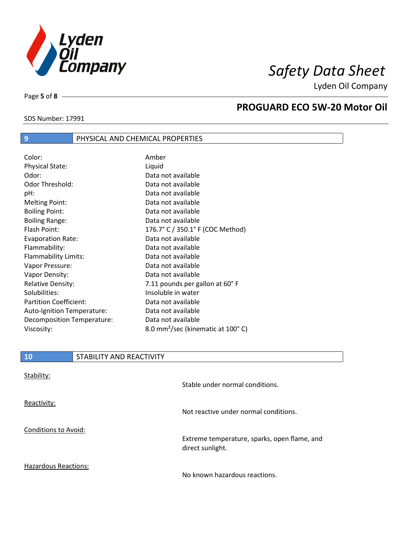

Lyden Oil Company

Page **5** of **8**

### **PROGUARD ECO 5W-20 Motor Oil**

| SDS Number: 17991 |  |
|-------------------|--|
|                   |  |

## **9 PHYSICAL AND CHEMICAL PROPERTIES**

| Color:                        | Amber                                         |
|-------------------------------|-----------------------------------------------|
| <b>Physical State:</b>        | Liquid                                        |
| Odor:                         | Data not available                            |
| Odor Threshold:               | Data not available                            |
| pH:                           | Data not available                            |
| Melting Point:                | Data not available                            |
| <b>Boiling Point:</b>         | Data not available                            |
| <b>Boiling Range:</b>         | Data not available                            |
| Flash Point:                  | 176.7° C / 350.1° F (COC Method)              |
| <b>Evaporation Rate:</b>      | Data not available                            |
| Flammability:                 | Data not available                            |
| Flammability Limits:          | Data not available                            |
| Vapor Pressure:               | Data not available                            |
| Vapor Density:                | Data not available                            |
| <b>Relative Density:</b>      | 7.11 pounds per gallon at 60°F                |
| Solubilities:                 | Insoluble in water                            |
| <b>Partition Coefficient:</b> | Data not available                            |
| Auto-Ignition Temperature:    | Data not available                            |
| Decomposition Temperature:    | Data not available                            |
| Viscosity:                    | 8.0 mm <sup>2</sup> /sec (kinematic at 100°C) |

| Stability:                  | Stable under normal conditions.                                  |
|-----------------------------|------------------------------------------------------------------|
| Reactivity:                 | Not reactive under normal conditions.                            |
| Conditions to Avoid:        | Extreme temperature, sparks, open flame, and<br>direct sunlight. |
| <b>Hazardous Reactions:</b> | No known hazardous reactions.                                    |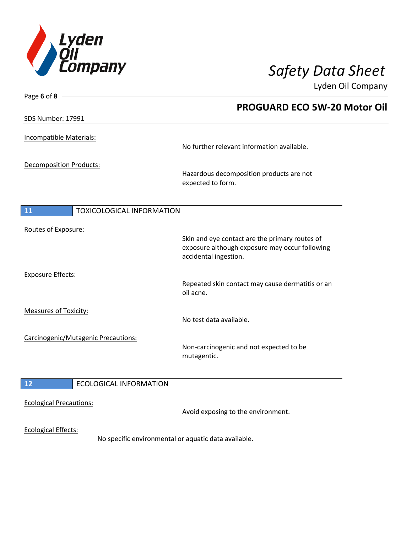

Lyden Oil Company

| Page 6 of 8 $-$                                      |                                                  |
|------------------------------------------------------|--------------------------------------------------|
|                                                      | <b>PROGUARD ECO 5W-20 Motor Oil</b>              |
| SDS Number: 17991                                    |                                                  |
|                                                      |                                                  |
| Incompatible Materials:                              | No further relevant information available.       |
|                                                      |                                                  |
| <b>Decomposition Products:</b>                       | Hazardous decomposition products are not         |
|                                                      | expected to form.                                |
|                                                      |                                                  |
| <b>TOXICOLOGICAL INFORMATION</b><br>11               |                                                  |
|                                                      |                                                  |
| Routes of Exposure:                                  | Skin and eye contact are the primary routes of   |
|                                                      | exposure although exposure may occur following   |
|                                                      | accidental ingestion.                            |
| <b>Exposure Effects:</b>                             |                                                  |
|                                                      | Repeated skin contact may cause dermatitis or an |
|                                                      | oil acne.                                        |
| Measures of Toxicity:                                |                                                  |
|                                                      | No test data available.                          |
| Carcinogenic/Mutagenic Precautions:                  |                                                  |
|                                                      | Non-carcinogenic and not expected to be          |
|                                                      | mutagentic.                                      |
|                                                      |                                                  |
| <b>ECOLOGICAL INFORMATION</b><br>12                  |                                                  |
| <b>Ecological Precautions:</b>                       |                                                  |
|                                                      | Avoid exposing to the environment.               |
| <b>Ecological Effects:</b>                           |                                                  |
| No specific environmental or aquatic data available. |                                                  |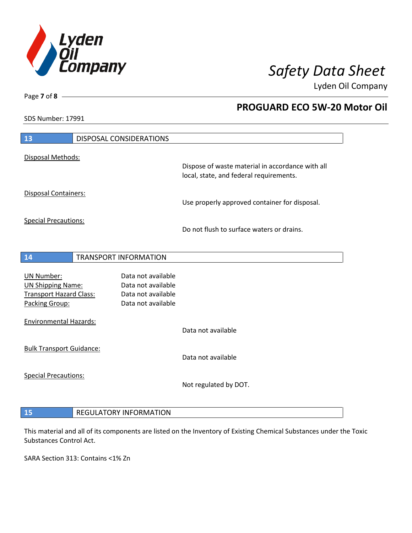

 **PROGUARD ECO 5W-20 Motor Oil** 

Lyden Oil Company

SDS Number: 17991

| 13                                                                                                | <b>DISPOSAL CONSIDERATIONS</b>                                                       |                                                                                             |
|---------------------------------------------------------------------------------------------------|--------------------------------------------------------------------------------------|---------------------------------------------------------------------------------------------|
| Disposal Methods:                                                                                 |                                                                                      | Dispose of waste material in accordance with all<br>local, state, and federal requirements. |
| <b>Disposal Containers:</b>                                                                       |                                                                                      | Use properly approved container for disposal.                                               |
| <b>Special Precautions:</b>                                                                       |                                                                                      | Do not flush to surface waters or drains.                                                   |
| 14                                                                                                | <b>TRANSPORT INFORMATION</b>                                                         |                                                                                             |
| <b>UN Number:</b><br><b>UN Shipping Name:</b><br><b>Transport Hazard Class:</b><br>Packing Group: | Data not available<br>Data not available<br>Data not available<br>Data not available |                                                                                             |
| <b>Environmental Hazards:</b>                                                                     |                                                                                      | Data not available                                                                          |
| <b>Bulk Transport Guidance:</b>                                                                   |                                                                                      | Data not available                                                                          |
| <b>Special Precautions:</b>                                                                       |                                                                                      | Not regulated by DOT.                                                                       |
|                                                                                                   |                                                                                      |                                                                                             |

This material and all of its components are listed on the Inventory of Existing Chemical Substances under the Toxic Substances Control Act.

SARA Section 313: Contains <1% Zn

**15** REGULATORY INFORMATION

Page **7** of **8**